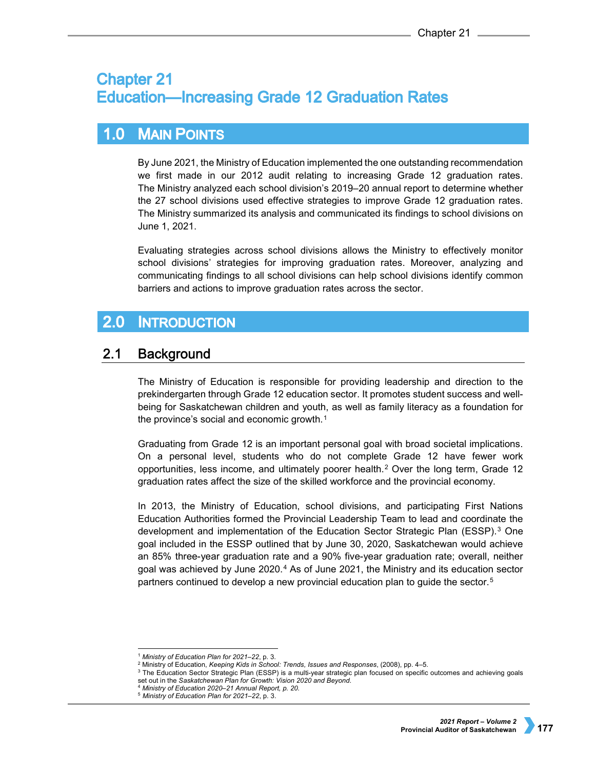# **Chapter 21 Education-Increasing Grade 12 Graduation Rates**

### $1.0$ **MAIN POINTS**

By June 2021, the Ministry of Education implemented the one outstanding recommendation we first made in our 2012 audit relating to increasing Grade 12 graduation rates. The Ministry analyzed each school division's 2019–20 annual report to determine whether the 27 school divisions used effective strategies to improve Grade 12 graduation rates. The Ministry summarized its analysis and communicated its findings to school divisions on June 1, 2021.

Evaluating strategies across school divisions allows the Ministry to effectively monitor school divisions' strategies for improving graduation rates. Moreover, analyzing and communicating findings to all school divisions can help school divisions identify common barriers and actions to improve graduation rates across the sector.

## $2.0$ **INTRODUCTION**

#### $2.1$ **Background**

The Ministry of Education is responsible for providing leadership and direction to the prekindergarten through Grade 12 education sector. It promotes student success and wellbeing for Saskatchewan children and youth, as well as family literacy as a foundation for the province's social and economic growth.[1](#page-0-0)

Graduating from Grade 12 is an important personal goal with broad societal implications. On a personal level, students who do not complete Grade 12 have fewer work opportunities, less income, and ultimately poorer health.[2](#page-0-1) Over the long term, Grade 12 graduation rates affect the size of the skilled workforce and the provincial economy.

In 2013, the Ministry of Education, school divisions, and participating First Nations Education Authorities formed the Provincial Leadership Team to lead and coordinate the development and implementation of the Education Sector Strategic Plan (ESSP).[3](#page-0-2) One goal included in the ESSP outlined that by June 30, 2020, Saskatchewan would achieve an 85% three-year graduation rate and a 90% five-year graduation rate; overall, neither goal was achieved by June 2020.[4](#page-0-3) As of June 2021, the Ministry and its education sector partners continued to develop a new provincial education plan to guide the sector.[5](#page-0-4)

 <sup>1</sup> *Ministry of Education Plan for 2021–22*, p. 3.

<sup>2</sup> Ministry of Education, *Keeping Kids in School: Trends, Issues and Responses*, (2008), pp. 4–5.

<span id="page-0-4"></span><span id="page-0-3"></span><span id="page-0-2"></span><span id="page-0-1"></span><span id="page-0-0"></span><sup>&</sup>lt;sup>3</sup> The Education Sector Strategic Plan (ESSP) is a multi-year strategic plan focused on specific outcomes and achieving goals set out in the *Saskatchewan Plan for Growth: Vision 2020 and Beyond*. 4 *Ministry of Education 2020–21 Annual Report, p. 20.*

<sup>5</sup> *Ministry of Education Plan for 2021–22*, p. 3.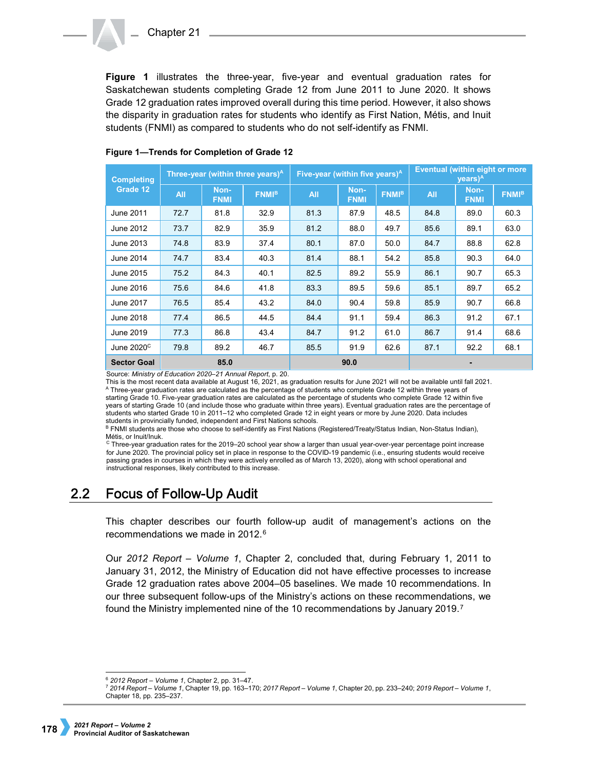**Figure 1** illustrates the three-year, five-year and eventual graduation rates for Saskatchewan students completing Grade 12 from June 2011 to June 2020. It shows Grade 12 graduation rates improved overall during this time period. However, it also shows the disparity in graduation rates for students who identify as First Nation, Métis, and Inuit students (FNMI) as compared to students who do not self-identify as FNMI.

| <b>Completing</b><br>Grade 12 | Three-year (within three years) <sup>A</sup> |                     |                         | Five-year (within five years) <sup>A</sup> |                     |                         | <b>Eventual (within eight or more</b><br>$\text{years}$ ) <sup>A</sup> |                     |              |
|-------------------------------|----------------------------------------------|---------------------|-------------------------|--------------------------------------------|---------------------|-------------------------|------------------------------------------------------------------------|---------------------|--------------|
|                               | <b>All</b>                                   | Non-<br><b>FNMI</b> | <b>FNMI<sup>B</sup></b> | <b>All</b>                                 | Non-<br><b>FNMI</b> | <b>FNMI<sup>B</sup></b> | <b>All</b>                                                             | Non-<br><b>FNMI</b> | <b>FNMIB</b> |
| June 2011                     | 72.7                                         | 81.8                | 32.9                    | 81.3                                       | 87.9                | 48.5                    | 84.8                                                                   | 89.0                | 60.3         |
| June 2012                     | 73.7                                         | 82.9                | 35.9                    | 81.2                                       | 88.0                | 49.7                    | 85.6                                                                   | 89.1                | 63.0         |
| June 2013                     | 74.8                                         | 83.9                | 37.4                    | 80.1                                       | 87.0                | 50.0                    | 84.7                                                                   | 88.8                | 62.8         |
| June 2014                     | 74.7                                         | 83.4                | 40.3                    | 81.4                                       | 88.1                | 54.2                    | 85.8                                                                   | 90.3                | 64.0         |
| June 2015                     | 75.2                                         | 84.3                | 40.1                    | 82.5                                       | 89.2                | 55.9                    | 86.1                                                                   | 90.7                | 65.3         |
| June 2016                     | 75.6                                         | 84.6                | 41.8                    | 83.3                                       | 89.5                | 59.6                    | 85.1                                                                   | 89.7                | 65.2         |
| June 2017                     | 76.5                                         | 85.4                | 43.2                    | 84.0                                       | 90.4                | 59.8                    | 85.9                                                                   | 90.7                | 66.8         |
| June 2018                     | 77.4                                         | 86.5                | 44.5                    | 84.4                                       | 91.1                | 59.4                    | 86.3                                                                   | 91.2                | 67.1         |
| June 2019                     | 77.3                                         | 86.8                | 43.4                    | 84.7                                       | 91.2                | 61.0                    | 86.7                                                                   | 91.4                | 68.6         |
| June $2020^{\circ}$           | 79.8                                         | 89.2                | 46.7                    | 85.5                                       | 91.9                | 62.6                    | 87.1                                                                   | 92.2                | 68.1         |
| <b>Sector Goal</b>            | 85.0                                         |                     |                         | 90.0                                       |                     |                         |                                                                        |                     |              |

## **Figure 1—Trends for Completion of Grade 12**

Source: *Ministry of Education 2020–21 Annual Report*, p. 20.

This is the most recent data available at August 16, 2021, as graduation results for June 2021 will not be available until fall 2021. <sup>A</sup> Three-year graduation rates are calculated as the percentage of students who complete Grade 12 within three years of starting Grade 10. Five-year graduation rates are calculated as the percentage of students who complete Grade 12 within five years of starting Grade 10 (and include those who graduate within three years). Eventual graduation rates are the percentage of students who started Grade 10 in 2011–12 who completed Grade 12 in eight years or more by June 2020. Data includes students in provincially funded, independent and First Nations schools.

B FNMI students are those who choose to self-identify as First Nations (Registered/Treaty/Status Indian, Non-Status Indian), Métis, or Inuit/Inuk.

 $c$  Three-year graduation rates for the 2019–20 school year show a larger than usual year-over-year percentage point increase for June 2020. The provincial policy set in place in response to the COVID-19 pandemic (i.e., ensuring students would receive passing grades in courses in which they were actively enrolled as of March 13, 2020), along with school operational and instructional responses, likely contributed to this increase.

#### $2.2<sub>2</sub>$ **Focus of Follow-Up Audit**

This chapter describes our fourth follow-up audit of management's actions on the recommendations we made in 2012.[6](#page-1-0)

Our *2012 Report – Volume 1*, Chapter 2, concluded that, during February 1, 2011 to January 31, 2012, the Ministry of Education did not have effective processes to increase Grade 12 graduation rates above 2004–05 baselines. We made 10 recommendations. In our three subsequent follow-ups of the Ministry's actions on these recommendations, we found the Ministry implemented nine of the 10 recommendations by January 2019.[7](#page-1-1)

<span id="page-1-0"></span> <sup>6</sup> *2012 Report – Volume 1*[, Chapter 2, pp. 31–47.](https://auditor.sk.ca/pub/publications/public_reports/2012/Volume_1/2012v1_02_Gr12GradRates.pdf)

<span id="page-1-1"></span><sup>7</sup> *2014 Report – Volume 1*[, Chapter 19, pp. 163–170;](https://auditor.sk.ca/pub/publications/public_reports/2014/Volume_1/2014V1_19_Education-Grad%20Rates.pdf) *2017 Report – Volume 1*[, Chapter 20, pp. 233–240;](https://auditor.sk.ca/pub/publications/public_reports/2017/Volume_1/20_Education_Graduation%20Rates.pdf) *[2019 Report –](https://auditor.sk.ca/pub/publications/public_reports/2019/Volume_1/18_Education%E2%80%94Increasing%20Grade%2012%20Graduation%20Rates.pdf) Volume 1*, [Chapter 18, pp. 235–237.](https://auditor.sk.ca/pub/publications/public_reports/2019/Volume_1/18_Education%E2%80%94Increasing%20Grade%2012%20Graduation%20Rates.pdf)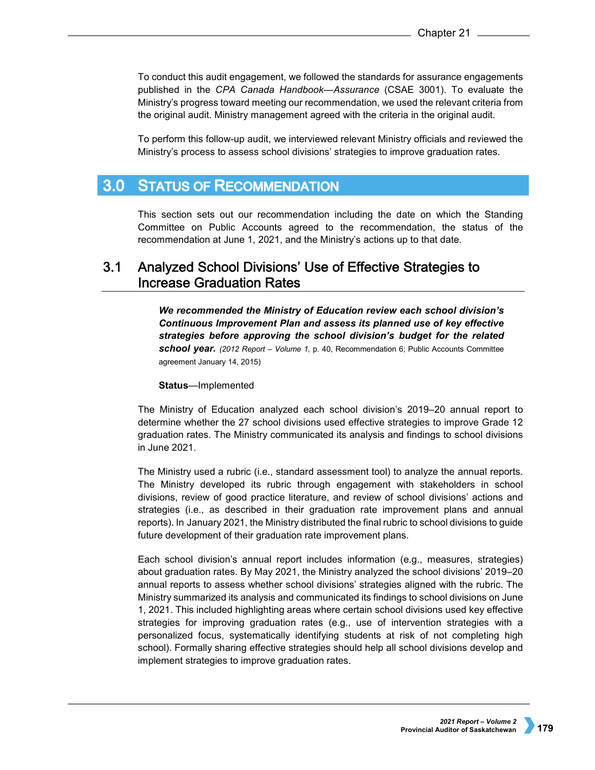To conduct this audit engagement, we followed the standards for assurance engagements published in the *CPA Canada Handbook—Assurance* (CSAE 3001). To evaluate the Ministry's progress toward meeting our recommendation, we used the relevant criteria from the original audit. Ministry management agreed with the criteria in the original audit.

To perform this follow-up audit, we interviewed relevant Ministry officials and reviewed the Ministry's process to assess school divisions' strategies to improve graduation rates.

#### $3.0<sub>1</sub>$ **STATUS OF RECOMMENDATION**

This section sets out our recommendation including the date on which the Standing Committee on Public Accounts agreed to the recommendation, the status of the recommendation at June 1, 2021, and the Ministry's actions up to that date.

## $3.1$ Analyzed School Divisions' Use of Effective Strategies to **Increase Graduation Rates**

*We recommended the Ministry of Education review each school division's Continuous Improvement Plan and assess its planned use of key effective strategies before approving the school division's budget for the related school year. (2012 Report – Volume 1,* p. 40, Recommendation 6; Public Accounts Committee agreement January 14, 2015)

## **Status**—Implemented

The Ministry of Education analyzed each school division's 2019–20 annual report to determine whether the 27 school divisions used effective strategies to improve Grade 12 graduation rates. The Ministry communicated its analysis and findings to school divisions in June 2021.

The Ministry used a rubric (i.e., standard assessment tool) to analyze the annual reports. The Ministry developed its rubric through engagement with stakeholders in school divisions, review of good practice literature, and review of school divisions' actions and strategies (i.e., as described in their graduation rate improvement plans and annual reports). In January 2021, the Ministry distributed the final rubric to school divisions to guide future development of their graduation rate improvement plans.

Each school division's annual report includes information (e.g., measures, strategies) about graduation rates. By May 2021, the Ministry analyzed the school divisions' 2019–20 annual reports to assess whether school divisions' strategies aligned with the rubric. The Ministry summarized its analysis and communicated its findings to school divisions on June 1, 2021. This included highlighting areas where certain school divisions used key effective strategies for improving graduation rates (e.g., use of intervention strategies with a personalized focus, systematically identifying students at risk of not completing high school). Formally sharing effective strategies should help all school divisions develop and implement strategies to improve graduation rates.